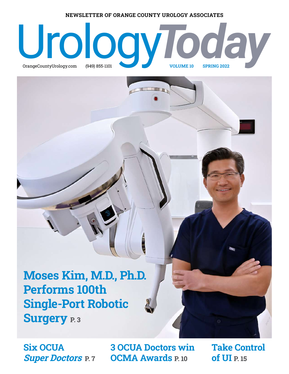#### **NEWSLETTER OF ORANGE COUNTY UROLOGY ASSOCIATES**

# [Uro](https://www.orangecountyurology.com)logy.com (949) 855-1101 VOLUME 10 SPRING 2022  $OrangeCountyUrology.com$ (949) 855-1101

**Moses Kim, M.D., Ph.D. Performs 100th Single-Port Robotic Surgery P. 3** 

**Six OCUA Super Doctors P. 7**

**3 OCUA Doctors win OCMA Awards P. 10**

**Take Control of UI P. 15**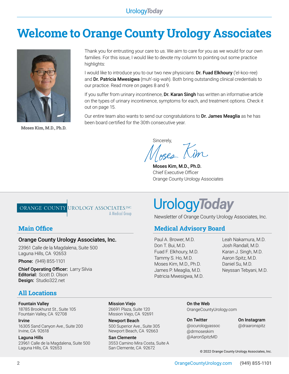### **Welcome to Orange County Urology Associates**



**Moses Kim, M.D., Ph.D.**

Thank you for entrusting your care to us. We aim to care for you as we would for our own families. For this issue, I would like to devote my column to pointing out some practice highlights:

I would like to introduce you to our two new physicians: Dr. Fuad Elkhoury ('el-koo-ree) and Dr. Patricia Mwesigwa (muh'-sig-wah). Both bring outstanding clinical credentials to our practice. Read more on pages 8 and 9.

If you suffer from urinary incontinence, **Dr. Karan Singh** has written an informative article on the types of urinary incontinence, symptoms for each, and treatment options. Check it out on page 15.

Our entire team also wants to send our congratulations to Dr. James Meaglia as he has been board certified for the 30th consecutive year.

Sincerely, Ises Kim

Paul A. Brower, M.D. Don T. Bui, M.D. Fuad F. Elkhoury, M.D. Tammy S. Ho, M.D. Moses Kim, M.D., Ph.D. James P. Meaglia, M.D. Patricia Mwesigwa, M.D.

Moses Kim, M.D., Ph.D. Chief Executive Officer Orange County Urology Associates

Urology*Today*

#### ORANGE COUNTY UROLOGY ASSOCIATES.INC. A Medical Group

#### **Main Office Medical Advisory Board**

#### Orange County Urology Associates, Inc.

23961 Calle de la Magdalena, Suite 500 Laguna Hills, CA 92653

**Phone:** (949) 855-1101

**Chief Operating Officer:** Larry Silvia Editorial: Scott D. Olson Design: S[tudio322.net](http://www.studio322.net)

#### **All Locations**

#### Fountain Valley

18785 Brookhurst St., Suite 105 Fountain Valley, CA 92708

#### Irvine

16305 Sand Canyon Ave., Suite 200 Irvine, CA 92618

#### Laguna Hills

23961 Calle de la Magdalena, Suite 500 Laguna Hills, CA 92653

Mission Viejo 26691 Plaza, Suite 120 Mission Viejo, CA 92691

Newport Beach 500 Superior Ave., Suite 305 Newport Beach, CA 92663

San Clemente 3553 Camino Mira Costa, Suite A San Clemente, CA 92672

On the Web [OrangeCountyUrology.com](https://www.orangecountyurology.com)

Newsletter of Orange County Urology Associates, Inc.

On Twitter [@ocurologyassoc](https://twitter.com/OCUrologyAssoc) [@drmoseskim](https://twitter.com/drmoseskim) [@AaronSpitzMD](https://twitter.com/AaronSpitzMD)

On Instagram [@draaronspitz](https://www.instagram.com/draaronspitz/)

Leah Nakamura, M.D. Josh Randall, M.D. Karan J. Singh, M.D. Aaron Spitz, M.D. Daniel Su, M.D.

Neyssan Tebyani, M.D.

© 2022 Orange County Urology Associates, Inc.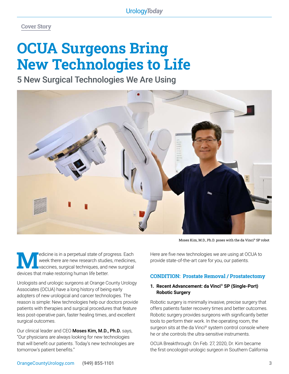**Cover Story**

# **OCUA Surgeons Bring New Technologies to Life**

5 New Surgical Technologies We Are Using



Moses Kim, M.D., Ph.D. poses with the da Vinci® SP robot

Medicine is in a perpetual state of progress. Each<br>week there are new research studies, medicines<br>devices that make restoring by man life better. week there are new research studies, medicines, vaccines, surgical techniques, and new surgical devices that make restoring human life better.

Urologists and urologic surgeons at Orange County Urology Associates (OCUA) have a long history of being early adopters of new urological and cancer technologies. The reason is simple: New technologies help our doctors provide patients with therapies and surgical procedures that feature less post-operative pain, faster healing times, and excellent surgical outcomes.

Our clinical leader and CEO Moses Kim, M.D., Ph.D. says, "Our physicians are always looking for new technologies that will benefit our patients. Today's new technologies are tomorrow's patient benefits."

Here are five new technologies we are using at OCUA to provide state-of-the-art care for you, our patients.

#### **CONDITION: Prostate Removal / Prostatectomy**

#### **1. Recent Advancement: da Vinci® SP (Single-Port) Robotic Surgery**

Robotic surgery is minimally invasive, precise surgery that offers patients faster recovery times and better outcomes. Robotic surgery provides surgeons with significantly better tools to perform their work. In the operating room, the surgeon sits at the da Vinci® system control console where he or she controls the ultra-sensitive instruments.

OCUA Breakthrough: On Feb. 27, 2020, Dr. Kim became the first oncologist-urologic surgeon in Southern California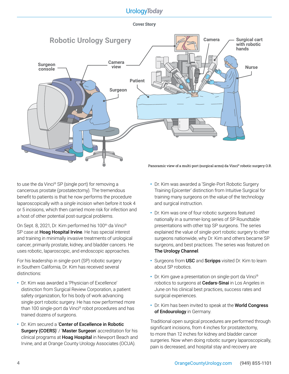#### **Cover Story**



to use the da Vinci® SP (single port) for removing a cancerous prostate (prostatectomy). The tremendous benefit to patients is that he now performs the procedure laparoscopically with a *single* incision when before it took 4 or 5 incisions, which then carried more risk for infection and a host of other potential post-surgical problems.

On Sept. 8, 2021, Dr. Kim performed his 100<sup>th</sup> da Vinci<sup>®</sup> SP case at Hoag Hospital Irvine. He has special interest and training in minimally invasive treatments of urological cancer, primarily prostate, kidney, and bladder cancers. He uses robotic, laparoscopic, and endoscopic approaches.

For his leadership in single-port (SP) robotic surgery in Southern California, Dr. Kim has received several distinctions:

- **•** Dr. Kim was awarded a 'Physician of Excellence' distinction from Surgical Review Corporation, a patient safety organization, for his body of work advancing single-port robotic surgery. He has now performed more than 100 single-port da Vinci® robot procedures and has trained dozens of surgeons.
- **•** Dr. Kim secured a 'Center of Excellence in Robotic Surgery (COERS)' / 'Master Surgeon' accreditation for his clinical programs at Hoag Hospital in Newport Beach and Irvine, and at Orange County Urology Associates (OCUA).
- **•** Dr. Kim was awarded a 'Single-Port Robotic Surgery Training Epicenter' distinction from Intuitive Surgical for training many surgeons on the value of the technology and surgical instruction.
- **•** Dr. Kim was one of four robotic surgeons featured nationally in a summer-long series of SP Roundtable presentations with other top SP surgeons. The series explained the value of single-port robotic surgery to other surgeons nationwide, why Dr. Kim and others became SP surgeons, and best practices. The series was featured on The Urology Channel.
- **•** Surgeons from USC and Scripps visited Dr. Kim to learn about SP robotics.
- **•** Dr. Kim gave a presentation on single-port da Vinci® robotics to surgeons at **Cedars-Sinai** in Los Angeles in June on his clinical best practices, success rates and surgical experiences.
- **•** Dr. Kim has been invited to speak at the World Congress of Endourology in Germany.

Traditional open surgical procedures are performed through significant incisions, from 4 inches for prostatectomy, to more than 12 inches for kidney and bladder cancer surgeries. Now when doing robotic surgery laparoscopically, pain is decreased, and hospital stay and recovery are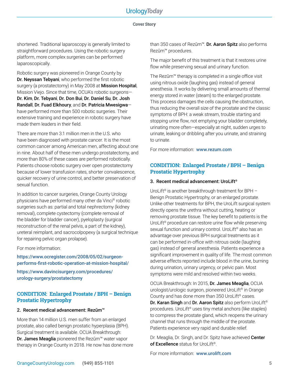#### **Cover Story**

shortened. Traditional laparoscopy is generally limited to straightforward procedures. Using the robotic surgery platform, more complex surgeries can be performed laparoscopically.

Robotic surgery was pioneered in Orange County by Dr. Neyssan Tebyani, who performed the first robotic surgery (a prostatectomy) in May 2008 at **Mission Hospital**, Mission Viejo. Since that time, OCUA's robotic surgeons— Dr. Kim, Dr. Tebyani, Dr. Don Bui, Dr. Daniel Su, Dr. Josh Randall, Dr. Fuad Elkhoury, and Dr. Patricia Mwesigwa have performed more than 500 robotic surgeries. Their extensive training and experience in robotic surgery have made them leaders in their field.

There are more than 3.1 million men in the U.S. who have been diagnosed with prostate cancer. It is the most common cancer among American men, affecting about one in nine. About half of these men undergo prostatectomy, and more than 80% of these cases are performed robotically. Patients choose robotic surgery over open prostatectomy because of lower transfusion rates, shorter convalescence, quicker recovery of urine control, and better preservation of sexual function.

In addition to cancer surgeries, Orange County Urology physicians have performed many other da Vinci® robotic surgeries such as: partial and total nephrectomy (kidney removal), complete cystectomy (complete removal of the bladder for bladder cancer), pyeloplasty (surgical reconstruction of the renal pelvis, a part of the kidney), ureteral reimplant, and sacrocolpopexy (a surgical technique for repairing pelvic organ prolapse).

For more information:

[https://www.ocregister.com/2008/05/02/surgeon](https://www.ocregister.com/2008/05/02/surgeon-performs-first-robotic-operation-at-mission-hospital/)[performs-first-robotic-operation-at-mission-hospital/](https://www.ocregister.com/2008/05/02/surgeon-performs-first-robotic-operation-at-mission-hospital/)

[https://www.davincisurgery.com/procedures/](https://www.davincisurgery.com/procedures/ urology-surgery/prostatectomy) [urology-surgery/prostatectomy](https://www.davincisurgery.com/procedures/ urology-surgery/prostatectomy)

#### **CONDITION: Enlarged Prostate / BPH – Benign Prostatic Hypertrophy**

#### 2. Recent medical advancement: Rezūm™

More than 14 million U.S. men suffer from an enlarged prostate, also called benign prostatic hyperplasia (BPH). Surgical treatment is available. OCUA Breakthrough: Dr. James Meaglia pioneered the Rezūm™ water vapor therapy in Orange County in 2018. He now has done more than 350 cases of Rezūm™. Dr. Aaron Spitz also performs Rezūm™ procedures.

The major benefit of this treatment is that it restores urine flow while preserving sexual and urinary function.

The Rezūm™ therapy is completed in a single office visit using nitrous oxide (laughing gas) instead of general anesthesia. It works by delivering small amounts of thermal energy stored in water (steam) to the enlarged prostate. This process damages the cells causing the obstruction, thus reducing the overall size of the prostate and the classic symptoms of BPH: a weak stream, trouble starting and stopping urine flow, not emptying your bladder completely, urinating more often—especially at night, sudden urges to urinate, leaking or dribbling after you urinate, and straining to urinate.

For more information: [www.rezum.com](http://www.rezum.com)

#### **CONDITION: Enlarged Prostate / BPH – Benign Prostatic Hypertrophy**

#### 3. Recent medical advancement: UroLift®

UroLift<sup>®</sup> is another breakthrough treatment for BPH -Benign Prostatic Hypertrophy, or an enlarged prostate. Unlike other treatments for BPH, the UroLift surgical system directly opens the urethra without cutting, heating or removing prostate tissue. The key benefit to patients is the UroLift<sup>®</sup> procedure can restore urine flow while preserving sexual function and urinary control. UroLift<sup>®</sup> also has an advantage over previous BPH surgical treatments as it can be performed in-office with nitrous oxide (laughing gas) instead of general anesthesia. Patients experience a significant improvement in quality of life. The most common adverse effects reported include blood in the urine, burning during urination, urinary urgency, or pelvic pain. Most symptoms were mild and resolved within two weeks.

OCUA Breakthrough: In 2015, Dr. James Meaglia, OCUA urologist/urologic surgeon, pioneered UroLift® in Orange County and has done more than 350 UroLift® cases. Dr. Karan Singh and Dr. Aaron Spitz also perform UroLift® procedures. UroLift® uses tiny metal anchors (like staples) to compress the prostate gland, which reopens the urinary channel that runs through the middle of the prostate. Patients experience very rapid and durable relief.

Dr. Meaglia, Dr. Singh, and Dr. Spitz have achieved Center of Excellence status for UroLift®.

For more information: [www.urolift.com](http://www.urolift.com)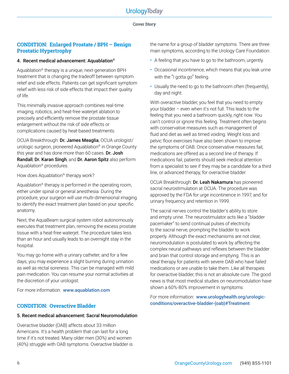#### **Cover Story**

#### **CONDITION: Enlarged Prostate / BPH – Benign Prostatic Hypertrophy**

#### 4. Recent medical advancement: Aquablation®

Aquablation® therapy is a unique, next-generation BPH treatment that is changing the tradeoff between symptom relief and side effects. Patients can get significant symptom relief with less risk of side effects that impact their quality of life.

This minimally invasive approach combines real-time imaging, robotics, and heat-free waterjet ablation to precisely and efficiently remove the prostate tissue enlargement without the risk of side effects or complications caused by heat-based treatments.

OCUA Breakthrough: Dr. James Meaglia, OCUA urologist/ urologic surgeon, pioneered Aquablation® in Orange County this year and has done more than 60 cases. Dr. Josh Randall, Dr. Karan Singh, and Dr. Aaron Spitz also perform Aquablation® procedures.

How does Aquablation® therapy work?

Aquablation® therapy is performed in the operating room, either under spinal or general anesthesia. During the procedure, your surgeon will use multi-dimensional imaging to identify the exact treatment plan based on your specific anatomy.

Next, the AquaBeam surgical system robot autonomously executes that treatment plan, removing the excess prostate tissue with a heat-free waterjet. The procedure takes less than an hour and usually leads to an overnight stay in the hospital.

You may go home with a urinary catheter, and for a few days, you may experience a slight burning during urination as well as rectal soreness. This can be managed with mild pain medication. You can resume your normal activities at the discretion of your urologist.

For more information: [www.aquablation.com](http://www.aquablation.com)

#### **CONDITION: Overactive Bladder**

#### 5. Recent medical advancement: Sacral Neuromodulation

Overactive bladder (OAB) affects about 33 million Americans. It's a health problem that can last for a long time if it's not treated. Many older men (30%) and women (40%) struggle with OAB symptoms. Overactive bladder is the name for a group of bladder symptoms. There are three main symptoms, according to the Urology Care Foundation:

- A feeling that you have to go to the bathroom, urgently.
- Occasional incontinence, which means that you leak urine with the "I gotta go" feeling.
- Usually the need to go to the bathroom often (frequently), day and night.

With overactive bladder, you feel that you need to empty your bladder – even when it's not full. This leads to the feeling that you need a bathroom quickly, right now. You can't control or ignore this feeling. Treatment often begins with conservative measures such as management of fluid and diet as well as timed voiding. Weight loss and pelvic floor exercises have also been shown to improve the symptoms of OAB. Once conservative measures fail, medications are offered as a second line of therapy. If medications fail, patients should seek medical attention from a specialist to see if they may be a candidate for a third line, or advanced therapy, for overactive bladder.

OCUA Breakthrough: Dr. Leah Nakamura has pioneered sacral neurostimulation at OCUA. The procedure was approved by the FDA for urge incontinence in 1997, and for urinary frequency and retention in 1999.

The sacral nerves control the bladder's ability to store and empty urine. The neurostimulator acts like a "bladder pacemaker" to send continual pulses of electricity to the sacral nerve, prompting the bladder to work properly. Although the exact mechanisms are not clear, neuromodulation is postulated to work by affecting the complex neural pathways and reflexes between the bladder and brain that control storage and emptying. This is an ideal therapy for patients with severe OAB who have failed medications or are unable to take them. Like all therapies for overactive bladder, this is not an absolute cure. The good news is that most medical studies on neuromodulation have shown a 60%-80% improvement in symptoms.

For more information: [www.urologyhealth.org/urologic](http://www.urologyhealth.org/urologic-conditions/overactive-bladder-(oab)#Treatment)[conditions/overactive-bladder-\(oab\)#Treatment](http://www.urologyhealth.org/urologic-conditions/overactive-bladder-(oab)#Treatment)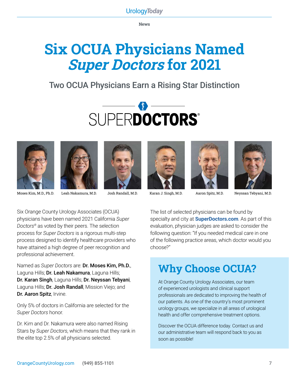**News**

# **Six OCUA Physicians Named Super Doctors for 2021**

### Two OCUA Physicians Earn a Rising Star Distinction















Moses Kim, M.D., Ph.D. Leah Nakamura, M.D. Josh Randall, M.D. Karan J. Singh, M.D. Aaron Spitz, M.D. Neyssan Tebyani, M.D.

Six Orange County Urology Associates (OCUA) physicians have been named 2021 California *Super Doctors®* as voted by their peers. The selection process for *Super Doctors* is a rigorous multi-step process designed to identify healthcare providers who have attained a high degree of peer recognition and professional achievement.

Named as *Super Doctors* are: Dr. Moses Kim, Ph.D., Laguna Hills; Dr. Leah Nakamura, Laguna Hills; Dr. Karan Singh, Laguna Hills; Dr. Neyssan Tebyani, Laguna Hills; **Dr. Josh Randall**, Mission Viejo; and Dr. Aaron Spitz, Irvine.

Only 5% of doctors in California are selected for the *Super Doctors* honor.

Dr. Kim and Dr. Nakamura were also named Rising Stars by *Super Doctors*, which means that they rank in the elite top 2.5% of all physicians selected.

The list of selected physicians can be found by specialty and city at **[SuperDoctors.com](https://www.superdoctors.com)**. As part of this evaluation, physician judges are asked to consider the following question: "If you needed medical care in one of the following practice areas, which doctor would you choose?"

### **Why Choose OCUA?**

At Orange County Urology Associates, our team of experienced urologists and clinical support professionals are dedicated to improving the health of our patients. As one of the country's most prominent urology groups, we specialize in all areas of urological health and offer comprehensive treatment options.

Discover the OCUA difference today. Contact us and our administrative team will respond back to you as soon as possible!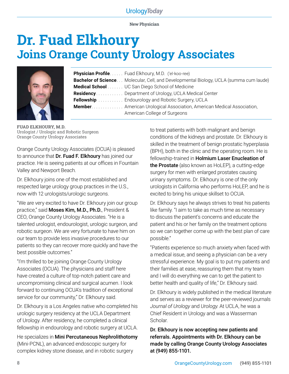**New Physician**

# **Dr. Fuad Elkhoury Joins Orange County Urology Associates**



| Physician Profile Fuad Elkhoury, M.D. ('el-koo-ree)                                           |
|-----------------------------------------------------------------------------------------------|
| <b>Bachelor of Science</b> Molecular, Cell, and Developmental Biology, UCLA (summa cum laude) |
| <b>Medical School</b> UC San Diego School of Medicine                                         |
| <b>Residency</b> Department of Urology, UCLA Medical Center                                   |
| <b>Fellowship</b> Endourology and Robotic Surgery, UCLA                                       |
| <b>Member.</b> American Urological Association, American Medical Association,                 |
| American College of Surgeons                                                                  |
|                                                                                               |

**FUAD ELKHOURY, M.D.** Urologist / Urologic and Robotic Surgeon Orange County Urology Associates

Orange County Urology Associates (OCUA) is pleased to announce that Dr. Fuad F. Elkhoury has joined our practice. He is seeing patients at our offices in Fountain Valley and Newport Beach.

Dr. Elkhoury joins one of the most established and respected large urology group practices in the U.S., now with 12 urologists/urologic surgeons.

"We are very excited to have Dr. Elkhoury join our group practice," said Moses Kim, M.D., Ph.D., President & CEO, Orange County Urology Associates. "He is a talented urologist, endourologist, urologic surgeon, and robotic surgeon. We are very fortunate to have him on our team to provide less invasive procedures to our patients so they can recover more quickly and have the best possible outcomes."

"I'm thrilled to be joining Orange County Urology Associates (OCUA). The physicians and staff here have created a culture of top-notch patient care and uncompromising clinical and surgical acumen. I look forward to continuing OCUA's tradition of exceptional service for our community," Dr. Elkhoury said.

Dr. Elkhoury is a Los Angeles native who completed his urologic surgery residency at the UCLA Department of Urology. After residency, he completed a clinical fellowship in endourology and robotic surgery at UCLA.

He specializes in Mini Percutaneous Nephrolithotomy (Mini-PCNL), an advanced endoscopic surgery for complex kidney stone disease, and in robotic surgery

to treat patients with both malignant and benign conditions of the kidneys and prostate. Dr. Elkhoury is skilled in the treatment of benign prostatic hyperplasia (BPH), both in the clinic and the operating room. He is fellowship-trained in Holmium Laser Enucleation of the Prostate (also known as HoLEP), a cutting-edge surgery for men with enlarged prostates causing urinary symptoms. Dr. Elkhoury is one of the only urologists in California who performs HoLEP, and he is excited to bring his unique skillset to OCUA.

Dr. Elkhoury says he always strives to treat his patients like family. "I aim to take as much time as necessary to discuss the patient's concerns and educate the patient and his or her family on the treatment options so we can together come up with the best plan of care possible."

"Patients experience so much anxiety when faced with a medical issue, and seeing a physician can be a very stressful experience. My goal is to put my patients and their families at ease, reassuring them that my team and I will do everything we can to get the patient to better health and quality of life," Dr. Elkhoury said.

Dr. Elkhoury is widely published in the medical literature and serves as a reviewer for the peer-reviewed journals *Journal of Urology* and *Urology*. At UCLA, he was a Chief Resident in Urology and was a Wasserman Scholar.

Dr. Elkhoury is now accepting new patients and referrals. Appointments with Dr. Elkhoury can be made by calling Orange County Urology Associates at (949) 855-1101.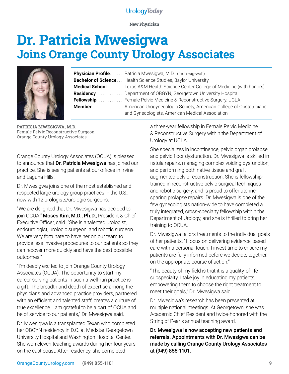**New Physician**

# **Dr. Patricia Mwesigwa Joins Orange County Urology Associates**



| <b>Physician Profile</b> Patricia Mwesigwa, M.D. (muh'-sig-wah)                                                                     |  |  |  |
|-------------------------------------------------------------------------------------------------------------------------------------|--|--|--|
| <b>Bachelor of Science</b> Health Science Studies, Baylor University                                                                |  |  |  |
| <b>Medical School</b> Texas A&M Health Science Center College of Medicine (with honors)                                             |  |  |  |
| <b>Residency</b> Department of OBGYN, Georgetown University Hospital                                                                |  |  |  |
| <b>Fellowship</b> Female Pelvic Medicine & Reconstructive Surgery, UCLA                                                             |  |  |  |
| <b>Member</b> American Urogynecologic Society, American College of Obstetricians<br>and Gynecologists, American Medical Association |  |  |  |

**PATRICIA MWESIGWA, M.D.** Female Pelvic Reconstructive Surgeon Orange County Urology Associates

Orange County Urology Associates (OCUA) is pleased to announce that Dr. Patricia Mwesigwa has joined our practice. She is seeing patients at our offices in Irvine and Laguna Hills.

Dr. Mwesigwa joins one of the most established and respected large urology group practices in the U.S., now with 12 urologists/urologic surgeons.

"We are delighted that Dr. Mwesigwa has decided to join OCUA," Moses Kim, M.D., Ph.D., President & Chief Executive Officer, said. "She is a talented urologist, endourologist, urologic surgeon, and robotic surgeon. We are very fortunate to have her on our team to provide less invasive procedures to our patients so they can recover more quickly and have the best possible outcomes."

"I'm deeply excited to join Orange County Urology Associates (OCUA). The opportunity to start my career serving patients in such a well-run practice is a gift. The breadth and depth of expertise among the physicians and advanced practice providers, partnered with an efficient and talented staff, creates a culture of true excellence. I am grateful to be a part of OCUA and be of service to our patients," Dr. Mwesigwa said.

Dr. Mwesigwa is a transplanted Texan who completed her OBGYN residency in D.C. at Medstar Georgetown University Hospital and Washington Hospital Center. She won eleven teaching awards during her four years on the east coast. After residency, she completed

a three-year fellowship in Female Pelvic Medicine & Reconstructive Surgery within the Department of Urology at UCLA.

She specializes in incontinence, pelvic organ prolapse, and pelvic floor dysfunction. Dr. Mwesigwa is skilled in fistula repairs, managing complex voiding dysfunction, and performing both native-tissue and graftaugmented pelvic reconstruction. She is fellowshiptrained in reconstructive pelvic surgical techniques and robotic surgery, and is proud to offer uterinesparing prolapse repairs. Dr. Mwesigwa is one of the few gynecologists nation-wide to have completed a truly integrated, cross-specialty fellowship within the Department of Urology, and she is thrilled to bring her training to OCUA.

Dr. Mwesigwa tailors treatments to the individual goals of her patients. "I focus on delivering evidence-based care with a personal touch. I invest time to ensure my patients are fully informed before we decide, together, on the appropriate course of action."

"The beauty of my field is that it is a quality-of-life subspecialty. I take joy in educating my patients, empowering them to choose the right treatment to meet their goals," Dr. Mwesigwa said.

Dr. Mwesigwa's research has been presented at multiple national meetings. At Georgetown, she was Academic Chief Resident and twice-honored with the String of Pearls annual teaching award.

Dr. Mwesigwa is now accepting new patients and referrals. Appointments with Dr. Mwesigwa can be made by calling Orange County Urology Associates at (949) 855-1101.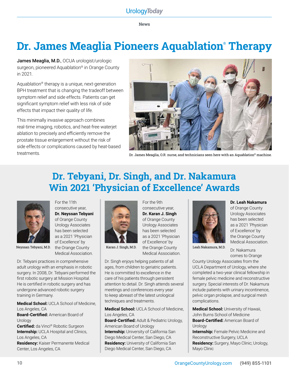**News**

### **Dr. James Meaglia Pioneers Aquablation® Therapy**

James Meaglia, M.D., OCUA urologist/urologic surgeon, pioneered Aquablation® in Orange County in 2021.

Aquablation® therapy is a unique, next-generation BPH treatment that is changing the tradeoff between symptom relief and side effects. Patients can get significant symptom relief with less risk of side effects that impact their quality of life.

This minimally invasive approach combines real-time imaging, robotics, and heat-free waterjet ablation to precisely and efficiently remove the prostate tissue enlargement without the risk of side effects or complications caused by heat-based treatments. Dr. James Meaglia, O.R. nurse, and technicians seen here with an Aquablation® machine.



### **Dr. Tebyani, Dr. Singh, and Dr. Nakamura Win 2021 'Physician of Excellence' Awards**

For the 9th consecutive year,



For the 11th consecutive year, **Dr. Neyssan Tebyani**  of Orange County Urology Associates has been selected as a 2021 'Physician of Excellence' by the Orange County Medical Association.

Dr. Tebyani practices in comprehensive adult urology with an emphasis in robotic surgery. In 2008, Dr. Tebyani performed the first robotic surgery at Mission Hospital. He is certified in robotic surgery and has undergone advanced robotic surgery training in Germany.

**Medical School:** UCLA School of Medicine, Los Angeles, CA

**Board-Certified:** American Board of **Urology** 

**Certified:** da Vinci® Robotic Surgeon **Internship:** UCLA Hospital and Clinics, Los Angeles, CA

**Residency:** Kaiser Permanente Medical Center, Los Angeles, CA



**Dr. Karan J. Singh** of Orange County Urology Associates has been selected as a 2021 'Physician of Excellence' by Karan J. Singh, M.D. the Orange County Leah Nakamura, M.D. Medical Association.

Dr. Singh enjoys helping patients of all ages, from children to geriatric patients. He is committed to excellence in the care of his patients through persistent attention to detail. Dr. Singh attends several meetings and conferences every year to keep abreast of the latest urological techniques and treatments.

**Medical School:** UCLA School of Medicine, Los Angeles, CA

**Board-Certified:** Adult & Pediatric Urology, American Board of Urology **Internship:** University of California San Diego Medical Center, San Diego, CA **Residency:** University of California San Diego Medical Center, San Diego, CA



**Dr. Leah Nakamura**

of Orange County Urology Associates has been selected as a 2021 'Physician of Excellence' by the Orange County Medical Association.

Dr. Nakamura comes to Orange

County Urology Associates from the UCLA Department of Urology, where she completed a two-year clinical fellowship in female pelvic medicine and reconstructive surgery. Special interests of Dr. Nakamura include patients with urinary incontinence, pelvic organ prolapse, and surgical mesh complications.

**Medical School:** University of Hawaii, John Burns School of Medicine **Board-Certified:** American Board of Urology

**Internship:** Female Pelvic Medicine and Reconstructive Surgery, UCLA **Residency:** Surgery, Mayo Clinic; Urology, Mayo Clinic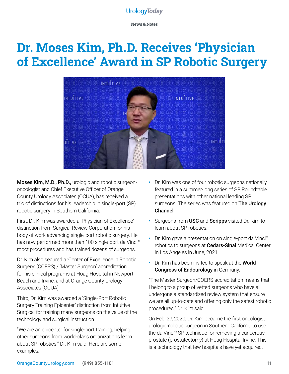**News & Notes**

### **Dr. Moses Kim, Ph.D. Receives 'Physician of Excellence' Award in SP Robotic Surgery**

 $\mathbb{F}(\mathbb{D}(\mathbb{B}))$  intuitive  $(\textcircled{\texttt{F}})(\textcircled{\texttt{F}})(\textcircled{\texttt{F}})(\textcircled{\texttt{F}})(\textcircled{\texttt{F}})(\textcircled{\texttt{F}})$  $NTI^{\text{unif}}$  $\textcircled{\tiny{\textcircled{\tiny{H}}}}$  intuitive  $\textcircled{\tiny{\textcircled{\tiny{H}}}}$ 

Moses Kim, M.D., Ph.D., urologic and robotic surgeononcologist and Chief Executive Officer of Orange County Urology Associates (OCUA), has received a trio of distinctions for his leadership in single-port (SP) robotic surgery in Southern California.

First, Dr. Kim was awarded a 'Physician of Excellence' distinction from Surgical Review Corporation for his body of work advancing single-port robotic surgery. He has now performed more than 100 single-port da Vinci® robot procedures and has trained dozens of surgeons.

Dr. Kim also secured a 'Center of Excellence in Robotic Surgery' (COERS) / 'Master Surgeon' accreditation for his clinical programs at Hoag Hospital in Newport Beach and Irvine, and at Orange County Urology Associates (OCUA).

Third, Dr. Kim was awarded a 'Single-Port Robotic Surgery Training Epicenter' distinction from Intuitive Surgical for training many surgeons on the value of the technology and surgical instruction.

"We are an epicenter for single-port training, helping other surgeons from world-class organizations learn about SP robotics," Dr. Kim said. Here are some examples:

- **•** Dr. Kim was one of four robotic surgeons nationally featured in a summer-long series of SP Roundtable presentations with other national leading SP surgeons. The series was featured on The Urology Channel.
- **•** Surgeons from USC and Scripps visited Dr. Kim to learn about SP robotics.
- **•** Dr. Kim gave a presentation on single-port da Vinci® robotics to surgeons at **Cedars-Sinai** Medical Center in Los Angeles in June, 2021.
- **•** Dr. Kim has been invited to speak at the World Congress of Endourology in Germany.

"The Master Surgeon/COERS accreditation means that I belong to a group of vetted surgeons who have all undergone a standardized review system that ensure we are all up-to-date and offering only the safest robotic procedures," Dr. Kim said.

On Feb. 27, 2020, Dr. Kim became the first oncologisturologic-robotic surgeon in Southern California to use the da Vinci® SP technique for removing a cancerous prostate (prostatectomy) at Hoag Hospital Irvine. This is a technology that few hospitals have yet acquired.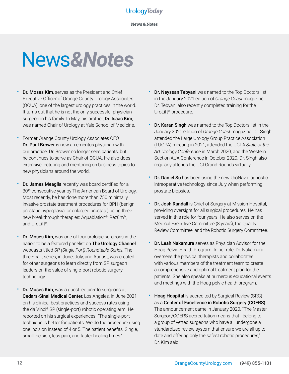# News*&Notes*

- Dr. Moses Kim, serves as the President and Chief Executive Officer of Orange County Urology Associates (OCUA), one of the largest urology practices in the world. It turns out that he is not the only successful physiciansurgeon in his family. In May, his brother, Dr. Isaac Kim, was named Chair of Urology at Yale School of Medicine.
- Former Orange County Urology Associates CEO Dr. Paul Brower is now an emeritus physician with our practice. Dr. Brower no longer sees patients, but he continues to serve as Chair of OCUA. He also does extensive lecturing and mentoring on business topics to new physicians around the world.
- Dr. James Meaglia recently was board certified for a 30th consecutive year by The American Board of Urology. Most recently, he has done more than 750 minimally invasive prostate treatment procedures for BPH (benign prostatic hyperplasia, or enlarged prostate) using three new breakthrough therapies: Aquablation®, Rezūm™, and UroLift®.
- Dr. Moses Kim, was one of four urologic surgeons in the nation to be a featured panelist on The Urology Channel webcasts titled *SP (Single Port) Roundtable Series*. The three-part series, in June, July, and August, was created for other surgeons to learn directly from SP surgeon leaders on the value of single-port robotic surgery technology.
- Dr. Moses Kim, was a guest lecturer to surgeons at Cedars-Sinai Medical Center, Los Angeles, in June 2021 on his clinical best practices and success rates using the da Vinci® SP (single-port) robotic operating arm. He reported on his surgical experiences: "The single-port technique is better for patients. We do the procedure using one incision instead of 4 or 5. The patient benefits: Single, small incision, less pain, and faster healing times."
- Dr. Neyssan Tebyani was named to the Top Doctors list in the January 2021 edition of *Orange Coast* magazine. Dr. Tebyani also recently completed training for the UroLift® procedure.
- **Dr. Karan Singh** was named to the Top Doctors list in the January 2021 edition of *Orange Coast* magazine. Dr. Singh attended the Large Urology Group Practice Association (LUGPA) meeting in 2021, attended the UCLA *State of the Art Urology Conference* in March 2020, and the Western Section AUA Conference in October 2020. Dr. Singh also regularly attends the UCI Grand Rounds virtually.
- Dr. Daniel Su has been using the new UroNav diagnostic intraoperative technology since July when performing prostate biopsies.
- Dr. Josh Randall is Chief of Surgery at Mission Hospital, providing oversight for all surgical procedures. He has served in this role for four years. He also serves on the Medical Executive Committee (8 years), the Quality Review Committee, and the Robotic Surgery Committee.
- **Dr. Leah Nakamura** serves as Physician Advisor for the Hoag Pelvic Health Program. In her role, Dr. Nakamura oversees the physical therapists and collaborates with various members of the treatment team to create a comprehensive and optimal treatment plan for the patients. She also speaks at numerous educational events and meetings with the Hoag pelvic health program.
- Hoag Hospital is accredited by Surgical Review (SRC) as a Center of Excellence in Robotic Surgery (COERS). The announcement came in January 2020. "The Master Surgeon/COERS accreditation means that I belong to a group of vetted surgeons who have all undergone a standardized review system that ensure we are all up to date and offering only the safest robotic procedures," Dr. Kim said.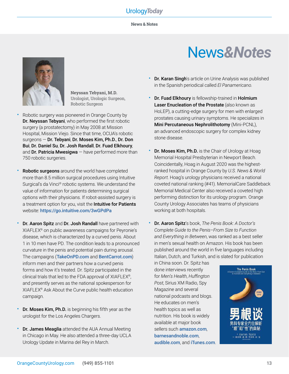**News & Notes**



**Neyssan Tebyani, M.D.** Urologist, Urologic Surgeon, Robotic Surgeon

- Robotic surgery was pioneered in Orange County by Dr. Neyssan Tebyani, who performed the first robotic surgery (a prostatectomy) in May 2008 at Mission Hospital, Mission Viejo. Since that time, OCUA's robotic surgeons — Dr. Tebyani, Dr. Moses Kim, Ph.D., Dr. Don Bui, Dr. Daniel Su, Dr. Josh Randall, Dr. Fuad Elkhoury, and Dr. Patricia Mwesigwa  $-$  have performed more than 750 robotic surgeries.
- Robotic surgeons around the world have completed more than 8.5 million surgical procedures using Intuitive Surgical's da Vinci® robotic systems. We understand the value of information for patients determining surgical options with their physicians. If robot-assisted surgery is a treatment option for you, visit the Intuitive for Patients website: <https://go.intuitive.com/3wGPdPa>
- Dr. Aaron Spitz and Dr. Josh Randall have partnered with XIAFLEX® on public awareness campaigns for Peyronie's disease, which is characterized by a curved penis. About 1 in 10 men have PD. The condition leads to a pronounced curvature in the penis and potential pain during arousal. The campaigns ([TakeOnPD.com](http://www.TakeOnPD.com) and [BentCarrot.com](http://www.BentCarrot.com)) inform men and their partners how a curved penis forms and how it's treated. Dr. Spitz participated in the clinical trials that led to the FDA approval of XIAFLEX®, and presently serves as the national spokesperson for XIAFLEX® Ask About the Curve public health education campaign.
- Dr. Moses Kim, Ph.D. is beginning his fifth year as the urologist for the Los Angeles Chargers.
- **Dr. James Meaglia** attended the AUA Annual Meeting in Chicago in May. He also attended a three-day UCLA Urology Update in Marina del Rey in March.

# News*&Notes*

- Dr. Karan Singh's article on Urine Analysis was published in the Spanish periodical called *El Panamericano*.
- Dr. Fuad Elkhoury is fellowship-trained in Holmium Laser Enucleation of the Prostate (also known as HoLEP), a cutting-edge surgery for men with enlarged prostates causing urinary symptoms. He specializes in Mini Percutaneous Nephrolithotomy (Mini-PCNL), an advanced endoscopic surgery for complex kidney stone disease.
- **Dr. Moses Kim, Ph.D.** is the Chair of Urology at Hoag Memorial Hospital Presbyterian in Newport Beach. Coincidentally, Hoag in August 2020 was the highestranked hospital in Orange County by *U.S. News & World Report*. Hoag's urology physicians received a national coveted national ranking (#41). MemorialCare Saddleback Memorial Medical Center also received a coveted high performing distinction for its urology program. Orange County Urology Associates has teams of physicians working at both hospitals.
- Dr. Aaron Spitz's book, *The Penis Book: A Doctor's Complete Guide to the Penis–From Size to Function and Everything in Between*, was ranked as a best seller in men's sexual health on Amazon. His book has been published around the world in five languages including Italian, Dutch, and Turkish, and is slated for publication

in China soon. Dr. Spitz has done interviews recently for *Men's Health*, *Huffington Post*, Sirius XM Radio, Spy Magazine and several national podcasts and blogs. He educates on men's health topics as well as nutrition. His book is widely available at major book sellers such [amazon.com](https://www.amazon.com/Penis-Book-Complete-Penis-Everything/dp/1635650291/ref=sr_1_1?crid=FRZ62KWQQ57S&keywords=dr+aaron+spitz&qid=1644020632&sprefix=dr+aaron+spitz%2Caps%2C125&sr=8-1), [barnesandnoble.com](https://www.barnesandnoble.com/w/the-penis-book-aaron-spitz-md/1128322694?ean=9781635650297), [audible.com](https://www.audible.com/pd/The-Penis-Book-Audiobook/B07CBYVVQN?qid=1644020883&sr=1-1&ref=a_search_c3_lProduct_1_1&pf_rd_p=83218cca-c308-412f-bfcf-90198b687a2f&pf_rd_r=AHS3KMV1CM01DXKQ1XR7), and [iTunes.com](http://iTunes.com).

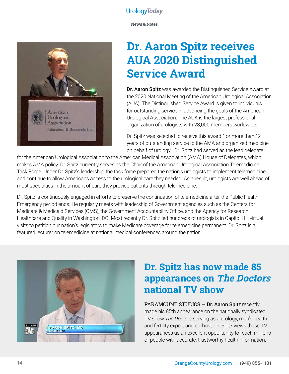

### **Dr. Aaron Spitz receives AUA 2020 Distinguished Service Award**

Dr. Aaron Spitz was awarded the Distinguished Service Award at the 2020 National Meeting of the American Urological Association (AUA). The Distinguished Service Award is given to individuals for outstanding service in advancing the goals of the American Urological Association. The AUA is the largest professional organization of urologists with 23,000 members worldwide.

Dr. Spitz was selected to receive this award "for more than 12 years of outstanding service to the AMA and organized medicine on behalf of urology". Dr. Spitz had served as the lead delegate

for the American Urological Association to the American Medical Association (AMA) House of Delegates, which makes AMA policy. Dr. Spitz currently serves as the Chair of the American Urological Association Telemedicine Task Force. Under Dr. Spitz's leadership, the task force prepared the nation's urologists to implement telemedicine and continue to allow Americans access to the urological care they needed. As a result, urologists are well ahead of most specialties in the amount of care they provide patients through telemedicine.

Dr. Spitz is continuously engaged in efforts to preserve the continuation of telemedicine after the Public Health Emergency period ends. He regularly meets with leadership of Government agencies such as the Centers for Medicare & Medicaid Services (CMS), the Government Accountability Office, and the Agency for Research Healthcare and Quality in Washington, DC. Most recently Dr. Spitz led hundreds of urologists in Capitol Hill virtual visits to petition our nation's legislators to make Medicare coverage for telemedicine permanent. Dr. Spitz is a featured lecturer on telemedicine at national medical conferences around the nation.



### **Dr. Spitz has now made 85 appearances on The Doctors national TV show**

PARAMOUNT STUDIOS - Dr. Aaron Spitz recently made his 85th appearance on the nationally syndicated TV show *The Doctors* serving as a urology, men's health and fertility expert and co-host. Dr. Spitz views these TV appearances as an excellent opportunity to reach millions of people with accurate, trustworthy health information.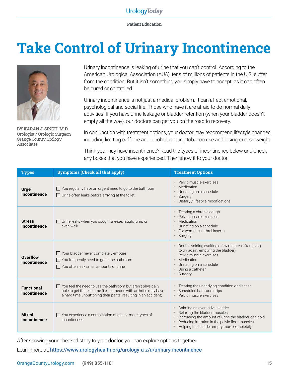**Patient Education**

# **Take Control of Urinary Incontinence**



**BY KARAN J. SINGH, M.D.** Urologist / Urologic Surgeon Orange County Urology Associates

Urinary incontinence is leaking of urine that you can't control. According to the American Urological Association (AUA), tens of millions of patients in the U.S. suffer from the condition. But it isn't something you simply have to accept, as it can often be cured or controlled.

Urinary incontinence is not just a medical problem. It can affect emotional, psychological and social life. Those who have it are afraid to do normal daily activities. If you have urine leakage or bladder retention (when your bladder doesn't empty all the way), our doctors can get you on the road to recovery.

In conjunction with treatment options, your doctor may recommend lifestyle changes, including limiting caffeine and alcohol, quitting tobacco use and losing excess weight.

Think you may have incontinence? Read the types of incontinence below and check any boxes that you have experienced. Then show it to your doctor.

| <b>Types</b>                      | <b>Symptoms (Check all that apply)</b>                                                                                                                                                            | <b>Treatment Options</b>                                                                                                                                                                                               |
|-----------------------------------|---------------------------------------------------------------------------------------------------------------------------------------------------------------------------------------------------|------------------------------------------------------------------------------------------------------------------------------------------------------------------------------------------------------------------------|
| <b>Urge</b><br>Incontinence       | You regularly have an urgent need to go to the bathroom<br>$\Box$ Urine often leaks before arriving at the toilet                                                                                 | • Pelvic muscle exercises<br>• Medication<br>• Urinating on a schedule<br>• Surgery<br>• Dietary / lifestyle modifications                                                                                             |
| <b>Stress</b><br>Incontinence     | Urine leaks when you cough, sneeze, laugh, jump or<br>even walk                                                                                                                                   | • Treating a chronic cough<br>Pelvic muscle exercises<br>• Medication<br>• Urinating on a schedule<br>• For women: urethral inserts<br>• Surgery                                                                       |
| Overflow<br>Incontinence          | $\Box$ Your bladder never completely empties<br>$\Box$ You frequently need to go to the bathroom<br>$\Box$ You often leak small amounts of urine                                                  | • Double voiding (waiting a few minutes after going<br>to try again, emptying the bladder)<br>· Pelvic muscle exercises<br>• Medication<br>• Urinating on a schedule<br>• Using a catheter<br>• Surgery                |
| <b>Functional</b><br>Incontinence | You feel the need to use the bathroom but aren't physically<br>able to get there in time (i.e., someone with arthritis may have<br>a hard time unbuttoning their pants, resulting in an accident) | • Treating the underlying condition or disease<br>• Scheduled bathroom trips<br>• Pelvic muscle exercises                                                                                                              |
| <b>Mixed</b><br>Incontinence      | You experience a combination of one or more types of<br>incontinence                                                                                                                              | Calming an overactive bladder<br>Relaxing the bladder muscles<br>Increasing the amount of urine the bladder can hold<br>Reducing irritation in the pelvic floor muscles<br>• Helping the bladder empty more completely |

After showing your checked story to your doctor, you can explore options together.

Learn more at: <https://www.urologyhealth.org/urology-a-z/u/urinary-incontinence>